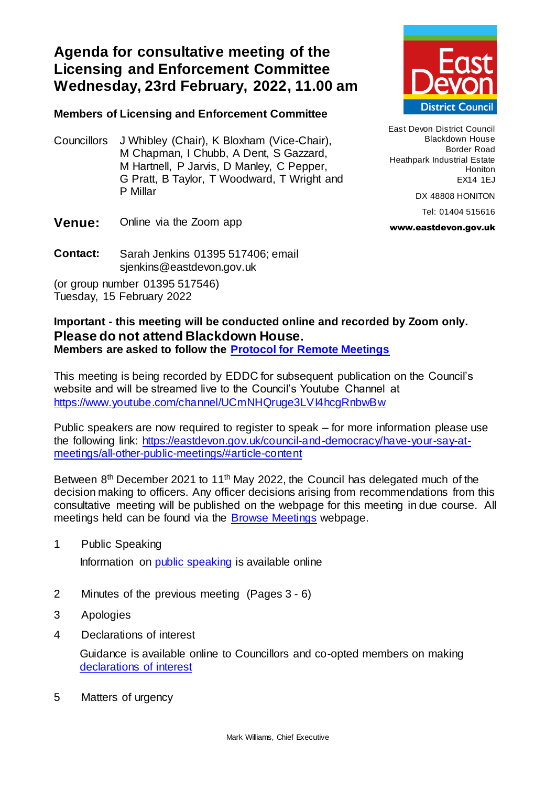## **Agenda for consultative meeting of the Licensing and Enforcement Committee Wednesday, 23rd February, 2022, 11.00 am**

## **Members of Licensing and Enforcement Committee**

Councillors J Whibley (Chair), K Bloxham (Vice-Chair), M Chapman, I Chubb, A Dent, S Gazzard, M Hartnell, P Jarvis, D Manley, C Pepper, G Pratt, B Taylor, T Woodward, T Wright and P Millar



East Devon District Council Blackdown House Border Road Heathpark Industrial Estate Honiton EX14 1EJ

DX 48808 HONITON

Tel: 01404 515616

www.eastdevon.gov.uk

- **Venue:** Online via the Zoom app
- **Contact:** Sarah Jenkins 01395 517406; email sjenkins@eastdevon.gov.uk

(or group number 01395 517546) Tuesday, 15 February 2022

## **Important - this meeting will be conducted online and recorded by Zoom only. Please do not attend Blackdown House. Members are asked to follow the [Protocol for Remote Meetings](http://eastdevon.gov.uk/council-and-democracy/protocol-for-virtual-meetings)**

This meeting is being recorded by EDDC for subsequent publication on the Council's website and will be streamed live to the Council's Youtube Channel at <https://www.youtube.com/channel/UCmNHQruge3LVI4hcgRnbwBw>

Public speakers are now required to register to speak – for more information please use the following link: [https://eastdevon.gov.uk/council-and-democracy/have-your-say-at](https://eastdevon.gov.uk/council-and-democracy/have-your-say-at-meetings/all-other-public-meetings/#article-content)[meetings/all-other-public-meetings/#article-content](https://eastdevon.gov.uk/council-and-democracy/have-your-say-at-meetings/all-other-public-meetings/#article-content)

Between 8<sup>th</sup> December 2021 to 11<sup>th</sup> May 2022, the Council has delegated much of the decision making to officers. Any officer decisions arising from recommendations from this consultative meeting will be published on the webpage for this meeting in due course. All meetings held can be found via the [Browse Meetings](https://democracy.eastdevon.gov.uk/ieDocHome.aspx?bcr=1) webpage.

1 Public Speaking

Information on [public speaking](https://eastdevon.gov.uk/council-and-democracy/have-your-say-at-meetings/all-other-public-meetings/#article-content) is available online

- 2 Minutes of the previous meeting(Pages 3 6)
- 3 Apologies
- 4 Declarations of interest

Guidance is available online to Councillors and co-opted members on making [declarations of interest](http://eastdevon.gov.uk/council-and-democracy/councillor-conduct/councillor-reminder-for-declaring-interests/)

5 Matters of urgency